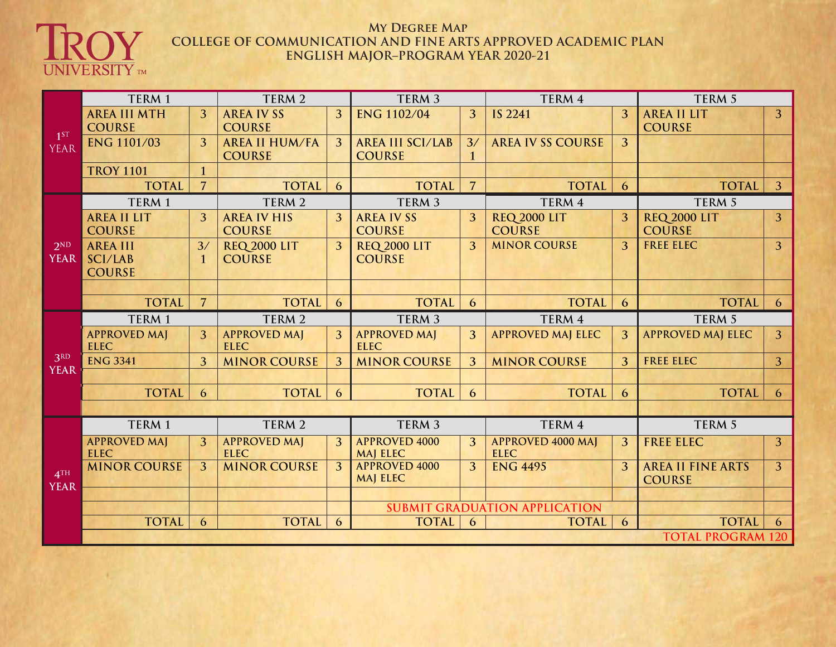

## **My Degree Map COLLEGE OF COMMUNICATION AND FINE ARTS APPROVED ACADEMIC PLAN ENGLISH MAJOR–PROGRAM YEAR 2020-21**

|                                | TERM 1                                      |                          | TERM 2                                 |                | TERM <sub>3</sub>                        |                | TERM 4                                  |                | TERM 5                                    |                |  |
|--------------------------------|---------------------------------------------|--------------------------|----------------------------------------|----------------|------------------------------------------|----------------|-----------------------------------------|----------------|-------------------------------------------|----------------|--|
| $1^{ST}$<br><b>YEAR</b>        | <b>AREA III MTH</b><br><b>COURSE</b>        | 3                        | <b>AREA IVSS</b><br><b>COURSE</b>      | 3              | <b>ENG 1102/04</b>                       | 3              | <b>IS 2241</b>                          | 3              | <b>AREA II LIT</b><br><b>COURSE</b>       | $\overline{3}$ |  |
|                                | <b>ENG 1101/03</b>                          | $\overline{3}$           | <b>AREA II HUM/FA</b><br><b>COURSE</b> | 3              | <b>AREA III SCI/LAB</b><br><b>COURSE</b> | 3/             | <b>AREA IV SS COURSE</b>                | $\overline{3}$ |                                           |                |  |
|                                | <b>TROY 1101</b>                            | $\mathbf{1}$             |                                        |                |                                          |                |                                         |                |                                           |                |  |
|                                | <b>TOTAL</b>                                | $\overline{7}$           | <b>TOTAL</b>                           | 6              | <b>TOTAL</b>                             | $\overline{7}$ | <b>TOTAL</b>                            | 6              | <b>TOTAL</b>                              | $\overline{3}$ |  |
|                                | TERM 1                                      |                          | TERM 2                                 |                | TERM <sub>3</sub>                        |                | TERM 4                                  |                | TERM 5                                    |                |  |
| 2ND<br><b>YEAR</b>             | <b>AREA II LIT</b><br><b>COURSE</b>         | $\overline{3}$           | <b>AREA IV HIS</b><br><b>COURSE</b>    | $\overline{3}$ | <b>AREA IV SS</b><br><b>COURSE</b>       | 3              | <b>REQ 2000 LIT</b><br><b>COURSE</b>    | $\overline{3}$ | <b>REQ 2000 LIT</b><br><b>COURSE</b>      | $\overline{3}$ |  |
|                                | <b>AREA III</b><br>SCI/LAB<br><b>COURSE</b> | 3/<br>$\mathbf{1}$       | <b>REQ 2000 LIT</b><br><b>COURSE</b>   | 3              | <b>REQ 2000 LIT</b><br><b>COURSE</b>     | 3              | <b>MINOR COURSE</b>                     | $\overline{3}$ | <b>FREE ELEC</b>                          | $\overline{3}$ |  |
|                                |                                             |                          |                                        |                |                                          |                |                                         |                |                                           |                |  |
|                                | <b>TOTAL</b>                                | $\overline{7}$           | <b>TOTAL</b>                           | 6              | <b>TOTAL</b>                             | 6              | <b>TOTAL</b>                            | 6              | <b>TOTAL</b>                              | 6              |  |
| 3RD<br><b>YEAR</b>             | TERM 1                                      |                          | TERM 2                                 |                | TERM <sub>3</sub>                        |                | TERM 4                                  |                | TERM 5                                    |                |  |
|                                | <b>APPROVED MAJ</b><br><b>ELEC</b>          | $\overline{3}$           | <b>APPROVED MAJ</b><br><b>ELEC</b>     | 3              | <b>APPROVED MAJ</b><br><b>ELEC</b>       | 3              | <b>APPROVED MAJ ELEC</b>                | 3              | <b>APPROVED MAJ ELEC</b>                  | $\overline{3}$ |  |
|                                | <b>ENG 3341</b>                             | $\overline{3}$           | <b>MINOR COURSE</b>                    | $\overline{3}$ | <b>MINOR COURSE</b>                      | 3              | <b>MINOR COURSE</b>                     | $\overline{3}$ | <b>FREE ELEC</b>                          | $\overline{3}$ |  |
|                                |                                             |                          |                                        |                |                                          |                |                                         |                |                                           |                |  |
|                                | <b>TOTAL</b>                                | 6                        | <b>TOTAL</b>                           | 6              | <b>TOTAL</b>                             | 6              | <b>TOTAL</b>                            | 6              | <b>TOTAL</b>                              | 6              |  |
|                                |                                             |                          |                                        |                |                                          |                |                                         |                |                                           |                |  |
| 4 <sup>TH</sup><br><b>YEAR</b> | TERM 1                                      |                          | TERM 2                                 |                | TERM 3                                   |                | TERM 4                                  |                | TERM 5                                    |                |  |
|                                | <b>APPROVED MAJ</b><br><b>ELEC</b>          | 3                        | <b>APPROVED MAJ</b><br><b>ELEC</b>     | 3              | <b>APPROVED 4000</b><br><b>MAJ ELEC</b>  | 3              | <b>APPROVED 4000 MAJ</b><br><b>ELEC</b> | $\overline{3}$ | <b>FREE ELEC</b>                          | 3              |  |
|                                | <b>MINOR COURSE</b>                         | $\overline{3}$           | <b>MINOR COURSE</b>                    | 3              | <b>APPROVED 4000</b><br><b>MAJ ELEC</b>  | 3              | <b>ENG 4495</b>                         | $\overline{3}$ | <b>AREA II FINE ARTS</b><br><b>COURSE</b> | $\overline{3}$ |  |
|                                |                                             |                          |                                        |                |                                          |                |                                         |                |                                           |                |  |
|                                |                                             |                          |                                        |                |                                          |                | <b>SUBMIT GRADUATION APPLICATION</b>    |                |                                           |                |  |
|                                | <b>TOTAL</b>                                | 6                        | <b>TOTAL</b>                           | 6              | <b>TOTAL</b>                             | 6              | <b>TOTAL</b>                            | 6              | <b>TOTAL</b>                              | 6              |  |
|                                |                                             | <b>TOTAL PROGRAM 120</b> |                                        |                |                                          |                |                                         |                |                                           |                |  |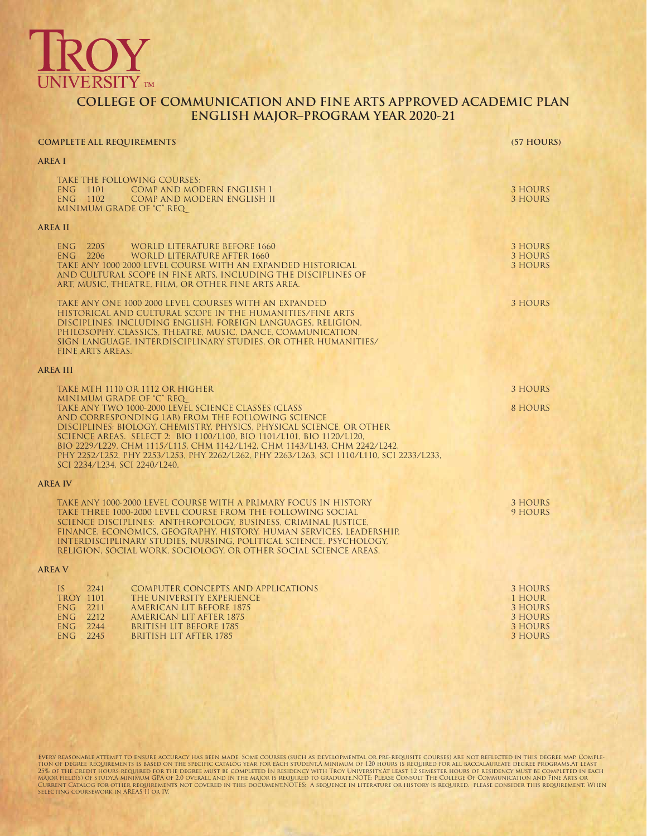

## **COLLEGE OF COMMUNICATION AND FINE ARTS APPROVED ACADEMIC PLAN ENGLISH MAJOR–PROGRAM YEAR 2020-21**

| <b>COMPLETE ALL REQUIREMENTS</b>                                                                                                                                                                                                                                                                                                                                                                                                                                                                  | (57 HOURS)                                                           |
|---------------------------------------------------------------------------------------------------------------------------------------------------------------------------------------------------------------------------------------------------------------------------------------------------------------------------------------------------------------------------------------------------------------------------------------------------------------------------------------------------|----------------------------------------------------------------------|
| <b>AREA I</b>                                                                                                                                                                                                                                                                                                                                                                                                                                                                                     |                                                                      |
| TAKE THE FOLLOWING COURSES:<br>ENG 1101<br>COMP AND MODERN ENGLISH I<br>ENG 1102<br>COMP AND MODERN ENGLISH II<br>MINIMUM GRADE OF "C" REQ                                                                                                                                                                                                                                                                                                                                                        | 3 HOURS<br>3 HOURS                                                   |
| <b>AREA II</b>                                                                                                                                                                                                                                                                                                                                                                                                                                                                                    |                                                                      |
| 2205<br><b>WORLD LITERATURE BEFORE 1660</b><br><b>ENG</b><br>ENG 2206<br>WORLD LITERATURE AFTER 1660<br>TAKE ANY 1000 2000 LEVEL COURSE WITH AN EXPANDED HISTORICAL<br>AND CULTURAL SCOPE IN FINE ARTS, INCLUDING THE DISCIPLINES OF<br>ART, MUSIC, THEATRE, FILM, OR OTHER FINE ARTS AREA.                                                                                                                                                                                                       | 3 HOURS<br>3 HOURS<br><b>3 HOURS</b>                                 |
| TAKE ANY ONE 1000 2000 LEVEL COURSES WITH AN EXPANDED<br>HISTORICAL AND CULTURAL SCOPE IN THE HUMANITIES/FINE ARTS<br>DISCIPLINES, INCLUDING ENGLISH, FOREIGN LANGUAGES, RELIGION,<br>PHILOSOPHY, CLASSICS, THEATRE, MUSIC, DANCE, COMMUNICATION,<br>SIGN LANGUAGE, INTERDISCIPLINARY STUDIES, OR OTHER HUMANITIES/<br><b>FINE ARTS AREAS.</b>                                                                                                                                                    | 3 HOURS                                                              |
| <b>AREA III</b>                                                                                                                                                                                                                                                                                                                                                                                                                                                                                   |                                                                      |
| TAKE MTH 1110 OR 1112 OR HIGHER                                                                                                                                                                                                                                                                                                                                                                                                                                                                   | 3 HOURS                                                              |
| MINIMUM GRADE OF "C" REQ<br>TAKE ANY TWO 1000-2000 LEVEL SCIENCE CLASSES (CLASS<br>AND CORRESPONDING LAB) FROM THE FOLLOWING SCIENCE<br>DISCIPLINES: BIOLOGY, CHEMISTRY, PHYSICS, PHYSICAL SCIENCE, OR OTHER<br>SCIENCE AREAS. SELECT 2: BIO 1100/L100, BIO 1101/L101, BIO 1120/L120,<br>BIO 2229/L229, CHM 1115/L115, CHM 1142/L142, CHM 1143/L143, CHM 2242/L242,<br>PHY 2252/L252, PHY 2253/L253, PHY 2262/L262, PHY 2263/L263, SCI 1110/L110, SCI 2233/L233,<br>SCI 2234/L234, SCI 2240/L240. | 8 HOURS                                                              |
| <b>AREA IV</b>                                                                                                                                                                                                                                                                                                                                                                                                                                                                                    |                                                                      |
| TAKE ANY 1000-2000 LEVEL COURSE WITH A PRIMARY FOCUS IN HISTORY<br>TAKE THREE 1000-2000 LEVEL COURSE FROM THE FOLLOWING SOCIAL<br>SCIENCE DISCIPLINES: ANTHROPOLOGY, BUSINESS, CRIMINAL JUSTICE,<br>FINANCE, ECONOMICS, GEOGRAPHY, HISTORY, HUMAN SERVICES, LEADERSHIP,<br>INTERDISCIPLINARY STUDIES, NURSING, POLITICAL SCIENCE, PSYCHOLOGY,<br>RELIGION, SOCIAL WORK, SOCIOLOGY, OR OTHER SOCIAL SCIENCE AREAS.                                                                                 | 3 HOURS<br>9 HOURS                                                   |
| <b>AREA V</b>                                                                                                                                                                                                                                                                                                                                                                                                                                                                                     |                                                                      |
| <b>COMPUTER CONCEPTS AND APPLICATIONS</b><br>IS<br>2241<br><b>TROY 1101</b><br>THE UNIVERSITY EXPERIENCE<br>ENG 2211<br>AMERICAN LIT BEFORE 1875<br>ENG 2212<br>AMERICAN LIT AFTER 1875<br>ENG 2244<br><b>BRITISH LIT BEFORE 1785</b><br>$ENG$ 2245<br><b>BRITISH LIT AFTER 1785</b>                                                                                                                                                                                                              | 3 HOURS<br>1 HOUR<br>3 HOURS<br>3 HOURS<br><b>3 HOURS</b><br>3 HOURS |

EVERY REASONABLE ATTEMPT TO ENSURE ACCURACY HAS BEEN MADE. SOME COURSES (SUCH AS DEVELOPMENTAL OR PRE-REQUISITE COURSES) ARE NOT REFLECTED IN THIS DEGREE MAP. COMPLE-<br>TION OF DEGREE REQUIREMENTS IS BASED ON THE SPECIFIC CA